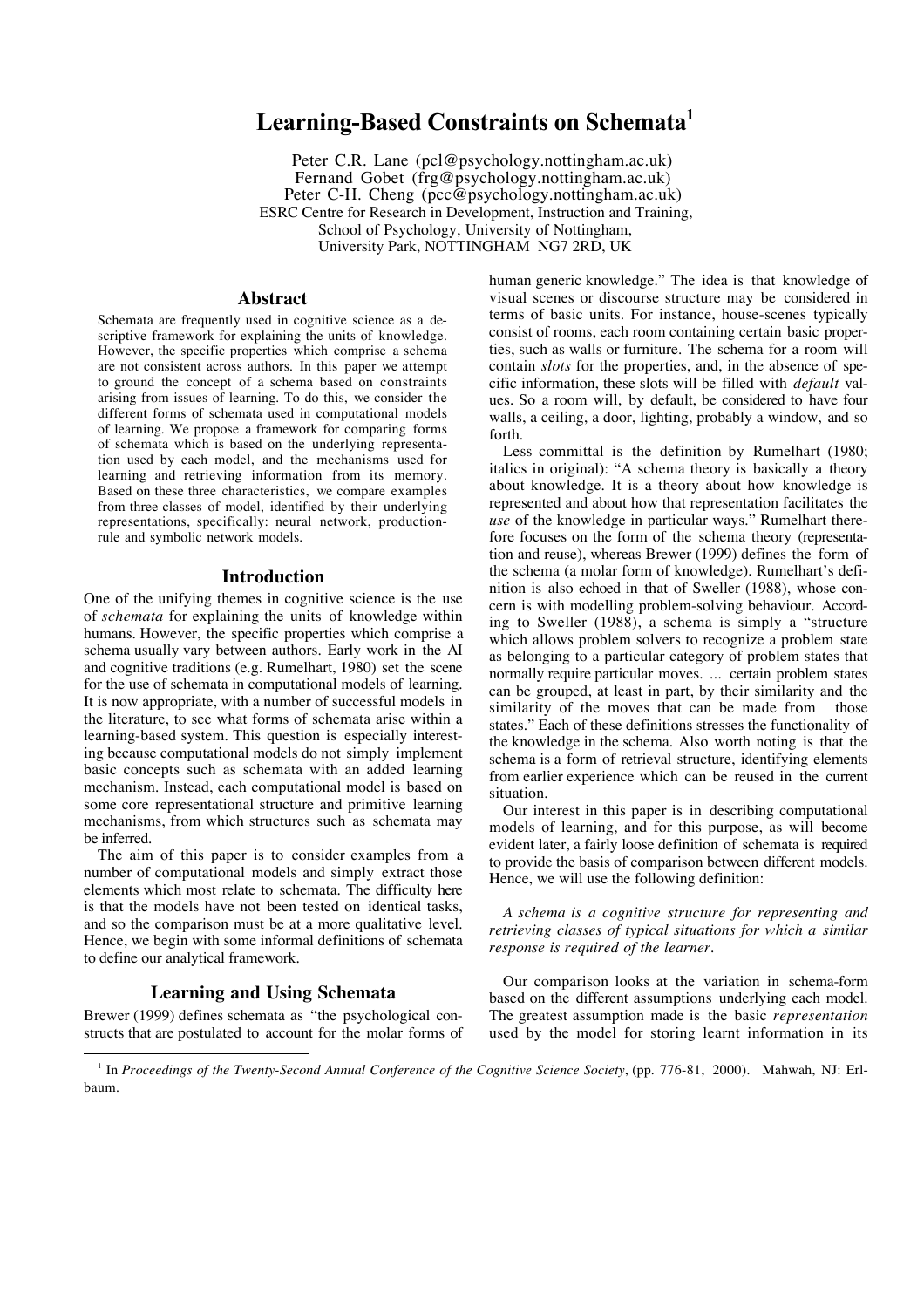# **Learning-Based Constraints on Schemata1**

Peter C.R. Lane (pcl@psychology.nottingham.ac.uk) Fernand Gobet (frg@psychology.nottingham.ac.uk) Peter C-H. Cheng (pcc@psychology.nottingham.ac.uk) ESRC Centre for Research in Development, Instruction and Training, School of Psychology, University of Nottingham, University Park, NOTTINGHAM NG7 2RD, UK

# **Abstract**

Schemata are frequently used in cognitive science as a descriptive framework for explaining the units of knowledge. However, the specific properties which comprise a schema are not consistent across authors. In this paper we attempt to ground the concept of a schema based on constraints arising from issues of learning. To do this, we consider the different forms of schemata used in computational models of learning. We propose a framework for comparing forms of schemata which is based on the underlying representation used by each model, and the mechanisms used for learning and retrieving information from its memory. Based on these three characteristics, we compare examples from three classes of model, identified by their underlying representations, specifically: neural network, productionrule and symbolic network models.

# **Introduction**

One of the unifying themes in cognitive science is the use of *schemata* for explaining the units of knowledge within humans. However, the specific properties which comprise a schema usually vary between authors. Early work in the AI and cognitive traditions (e.g. Rumelhart, 1980) set the scene for the use of schemata in computational models of learning. It is now appropriate, with a number of successful models in the literature, to see what forms of schemata arise within a learning-based system. This question is especially interesting because computational models do not simply implement basic concepts such as schemata with an added learning mechanism. Instead, each computational model is based on some core representational structure and primitive learning mechanisms, from which structures such as schemata may be inferred.

The aim of this paper is to consider examples from a number of computational models and simply extract those elements which most relate to schemata. The difficulty here is that the models have not been tested on identical tasks, and so the comparison must be at a more qualitative level. Hence, we begin with some informal definitions of schemata to define our analytical framework.

# **Learning and Using Schemata**

Brewer (1999) defines schemata as "the psychological constructs that are postulated to account for the molar forms of human generic knowledge." The idea is that knowledge of visual scenes or discourse structure may be considered in terms of basic units. For instance, house-scenes typically consist of rooms, each room containing certain basic properties, such as walls or furniture. The schema for a room will contain *slots* for the properties, and, in the absence of specific information, these slots will be filled with *default* values. So a room will, by default, be considered to have four walls, a ceiling, a door, lighting, probably a window, and so forth.

Less committal is the definition by Rumelhart (1980; italics in original): "A schema theory is basically a theory about knowledge. It is a theory about how knowledge is represented and about how that representation facilitates the *use* of the knowledge in particular ways." Rumelhart therefore focuses on the form of the schema theory (representation and reuse), whereas Brewer (1999) defines the form of the schema (a molar form of knowledge). Rumelhart's definition is also echoed in that of Sweller (1988), whose concern is with modelling problem-solving behaviour. According to Sweller (1988), a schema is simply a "structure which allows problem solvers to recognize a problem state as belonging to a particular category of problem states that normally require particular moves. ... certain problem states can be grouped, at least in part, by their similarity and the similarity of the moves that can be made from those states." Each of these definitions stresses the functionality of the knowledge in the schema. Also worth noting is that the schema is a form of retrieval structure, identifying elements from earlier experience which can be reused in the current situation.

Our interest in this paper is in describing computational models of learning, and for this purpose, as will become evident later, a fairly loose definition of schemata is required to provide the basis of comparison between different models. Hence, we will use the following definition:

*A schema is a cognitive structure for representing and retrieving classes of typical situations for which a similar response is required of the learner.*

Our comparison looks at the variation in schema-form based on the different assumptions underlying each model. The greatest assumption made is the basic *representation* used by the model for storing learnt information in its

<sup>&</sup>lt;sup>1</sup> In *Proceedings of the Twenty-Second Annual Conference of the Cognitive Science Society*, (pp. 776-81, 2000). Mahwah, NJ: Erlbaum.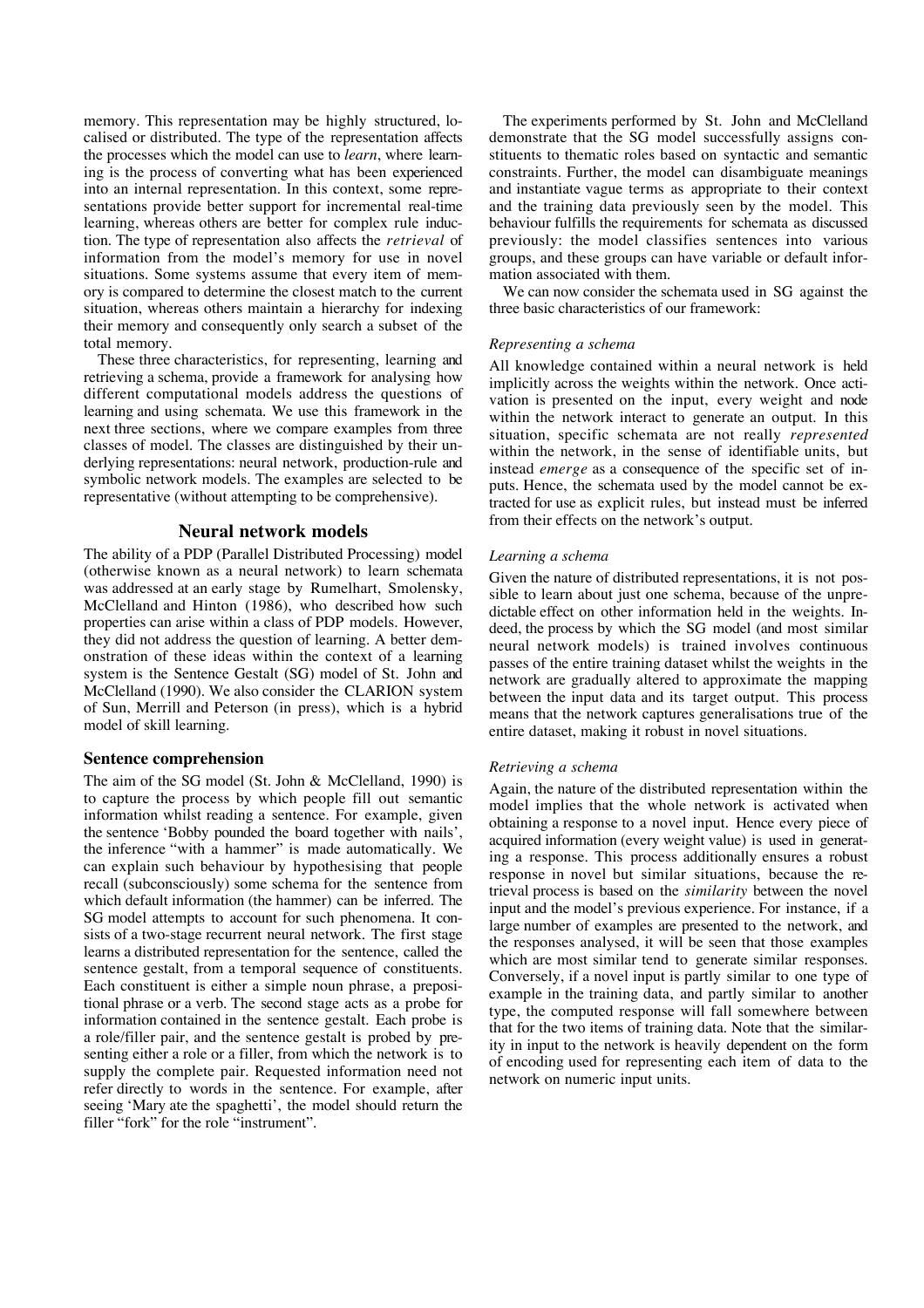memory. This representation may be highly structured, localised or distributed. The type of the representation affects the processes which the model can use to *learn*, where learning is the process of converting what has been experienced into an internal representation. In this context, some representations provide better support for incremental real-time learning, whereas others are better for complex rule induction. The type of representation also affects the *retrieval* of information from the model's memory for use in novel situations. Some systems assume that every item of memory is compared to determine the closest match to the current situation, whereas others maintain a hierarchy for indexing their memory and consequently only search a subset of the total memory.

These three characteristics, for representing, learning and retrieving a schema, provide a framework for analysing how different computational models address the questions of learning and using schemata. We use this framework in the next three sections, where we compare examples from three classes of model. The classes are distinguished by their underlying representations: neural network, production-rule and symbolic network models. The examples are selected to be representative (without attempting to be comprehensive).

## **Neural network models**

The ability of a PDP (Parallel Distributed Processing) model (otherwise known as a neural network) to learn schemata was addressed at an early stage by Rumelhart, Smolensky, McClelland and Hinton (1986), who described how such properties can arise within a class of PDP models. However, they did not address the question of learning. A better demonstration of these ideas within the context of a learning system is the Sentence Gestalt (SG) model of St. John and McClelland (1990). We also consider the CLARION system of Sun, Merrill and Peterson (in press), which is a hybrid model of skill learning.

# **Sentence comprehension**

The aim of the SG model (St. John & McClelland, 1990) is to capture the process by which people fill out semantic information whilst reading a sentence. For example, given the sentence 'Bobby pounded the board together with nails', the inference "with a hammer" is made automatically. We can explain such behaviour by hypothesising that people recall (subconsciously) some schema for the sentence from which default information (the hammer) can be inferred. The SG model attempts to account for such phenomena. It consists of a two-stage recurrent neural network. The first stage learns a distributed representation for the sentence, called the sentence gestalt, from a temporal sequence of constituents. Each constituent is either a simple noun phrase, a prepositional phrase or a verb. The second stage acts as a probe for information contained in the sentence gestalt. Each probe is a role/filler pair, and the sentence gestalt is probed by presenting either a role or a filler, from which the network is to supply the complete pair. Requested information need not refer directly to words in the sentence. For example, after seeing 'Mary ate the spaghetti', the model should return the filler "fork" for the role "instrument".

The experiments performed by St. John and McClelland demonstrate that the SG model successfully assigns constituents to thematic roles based on syntactic and semantic constraints. Further, the model can disambiguate meanings and instantiate vague terms as appropriate to their context and the training data previously seen by the model. This behaviour fulfills the requirements for schemata as discussed previously: the model classifies sentences into various groups, and these groups can have variable or default information associated with them.

We can now consider the schemata used in SG against the three basic characteristics of our framework:

#### *Representing a schema*

All knowledge contained within a neural network is held implicitly across the weights within the network. Once activation is presented on the input, every weight and node within the network interact to generate an output. In this situation, specific schemata are not really *represented* within the network, in the sense of identifiable units, but instead *emerge* as a consequence of the specific set of inputs. Hence, the schemata used by the model cannot be extracted for use as explicit rules, but instead must be inferred from their effects on the network's output.

## *Learning a schema*

Given the nature of distributed representations, it is not possible to learn about just one schema, because of the unpredictable effect on other information held in the weights. Indeed, the process by which the SG model (and most similar neural network models) is trained involves continuous passes of the entire training dataset whilst the weights in the network are gradually altered to approximate the mapping between the input data and its target output. This process means that the network captures generalisations true of the entire dataset, making it robust in novel situations.

#### *Retrieving a schema*

Again, the nature of the distributed representation within the model implies that the whole network is activated when obtaining a response to a novel input. Hence every piece of acquired information (every weight value) is used in generating a response. This process additionally ensures a robust response in novel but similar situations, because the retrieval process is based on the *similarity* between the novel input and the model's previous experience. For instance, if a large number of examples are presented to the network, and the responses analysed, it will be seen that those examples which are most similar tend to generate similar responses. Conversely, if a novel input is partly similar to one type of example in the training data, and partly similar to another type, the computed response will fall somewhere between that for the two items of training data. Note that the similarity in input to the network is heavily dependent on the form of encoding used for representing each item of data to the network on numeric input units.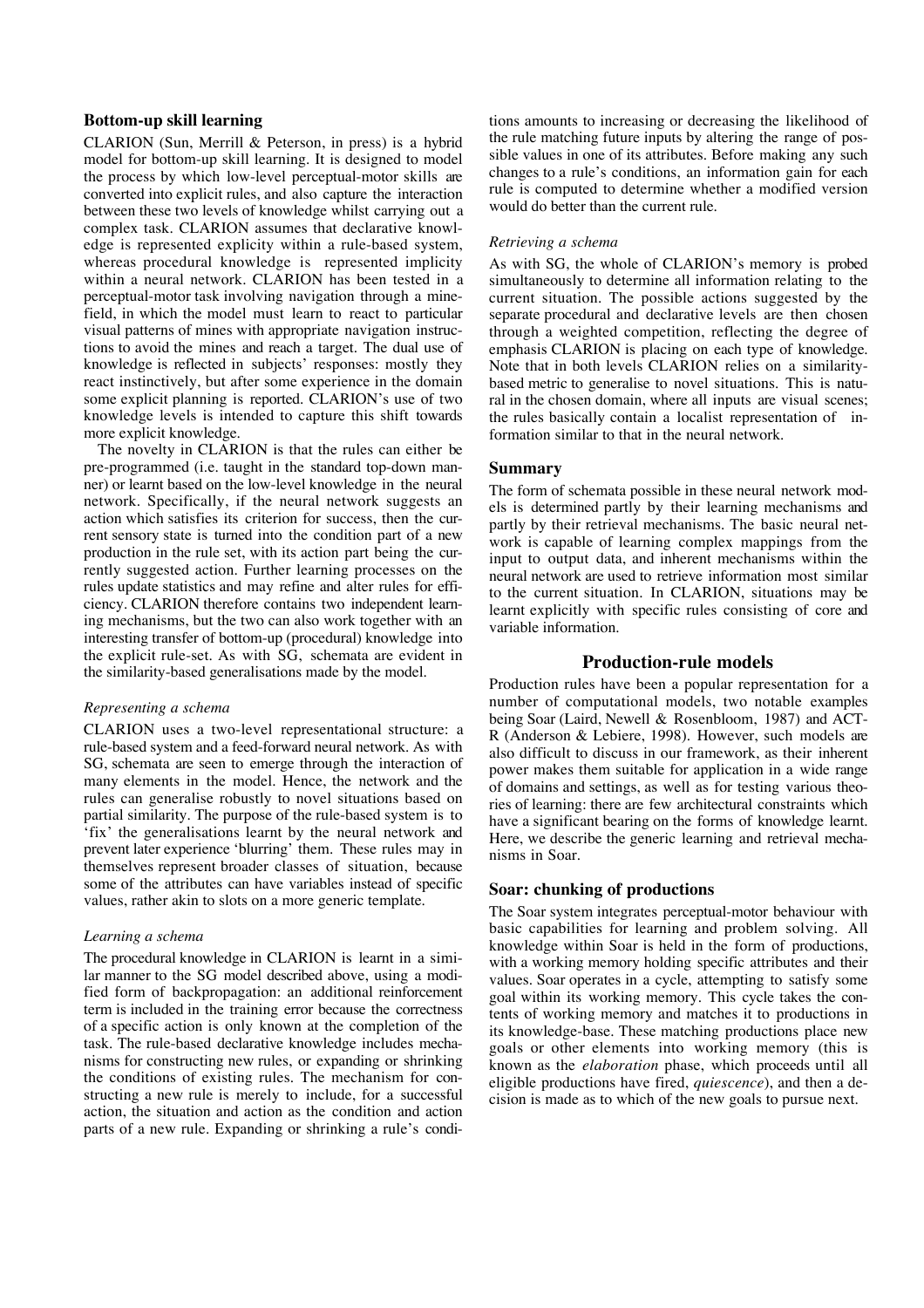# **Bottom-up skill learning**

CLARION (Sun, Merrill & Peterson, in press) is a hybrid model for bottom-up skill learning. It is designed to model the process by which low-level perceptual-motor skills are converted into explicit rules, and also capture the interaction between these two levels of knowledge whilst carrying out a complex task. CLARION assumes that declarative knowledge is represented explicity within a rule-based system, whereas procedural knowledge is represented implicity within a neural network. CLARION has been tested in a perceptual-motor task involving navigation through a minefield, in which the model must learn to react to particular visual patterns of mines with appropriate navigation instructions to avoid the mines and reach a target. The dual use of knowledge is reflected in subjects' responses: mostly they react instinctively, but after some experience in the domain some explicit planning is reported. CLARION's use of two knowledge levels is intended to capture this shift towards more explicit knowledge.

The novelty in CLARION is that the rules can either be pre-programmed (i.e. taught in the standard top-down manner) or learnt based on the low-level knowledge in the neural network. Specifically, if the neural network suggests an action which satisfies its criterion for success, then the current sensory state is turned into the condition part of a new production in the rule set, with its action part being the currently suggested action. Further learning processes on the rules update statistics and may refine and alter rules for efficiency. CLARION therefore contains two independent learning mechanisms, but the two can also work together with an interesting transfer of bottom-up (procedural) knowledge into the explicit rule-set. As with SG, schemata are evident in the similarity-based generalisations made by the model.

# *Representing a schema*

CLARION uses a two-level representational structure: a rule-based system and a feed-forward neural network. As with SG, schemata are seen to emerge through the interaction of many elements in the model. Hence, the network and the rules can generalise robustly to novel situations based on partial similarity. The purpose of the rule-based system is to 'fix' the generalisations learnt by the neural network and prevent later experience 'blurring' them. These rules may in themselves represent broader classes of situation, because some of the attributes can have variables instead of specific values, rather akin to slots on a more generic template.

#### *Learning a schema*

The procedural knowledge in CLARION is learnt in a similar manner to the SG model described above, using a modified form of backpropagation: an additional reinforcement term is included in the training error because the correctness of a specific action is only known at the completion of the task. The rule-based declarative knowledge includes mechanisms for constructing new rules, or expanding or shrinking the conditions of existing rules. The mechanism for constructing a new rule is merely to include, for a successful action, the situation and action as the condition and action parts of a new rule. Expanding or shrinking a rule's condi-

tions amounts to increasing or decreasing the likelihood of the rule matching future inputs by altering the range of possible values in one of its attributes. Before making any such changes to a rule's conditions, an information gain for each rule is computed to determine whether a modified version would do better than the current rule.

#### *Retrieving a schema*

As with SG, the whole of CLARION's memory is probed simultaneously to determine all information relating to the current situation. The possible actions suggested by the separate procedural and declarative levels are then chosen through a weighted competition, reflecting the degree of emphasis CLARION is placing on each type of knowledge. Note that in both levels CLARION relies on a similaritybased metric to generalise to novel situations. This is natural in the chosen domain, where all inputs are visual scenes; the rules basically contain a localist representation of information similar to that in the neural network.

## **Summary**

The form of schemata possible in these neural network models is determined partly by their learning mechanisms and partly by their retrieval mechanisms. The basic neural network is capable of learning complex mappings from the input to output data, and inherent mechanisms within the neural network are used to retrieve information most similar to the current situation. In CLARION, situations may be learnt explicitly with specific rules consisting of core and variable information.

# **Production-rule models**

Production rules have been a popular representation for a number of computational models, two notable examples being Soar (Laird, Newell & Rosenbloom, 1987) and ACT-R (Anderson & Lebiere, 1998). However, such models are also difficult to discuss in our framework, as their inherent power makes them suitable for application in a wide range of domains and settings, as well as for testing various theories of learning: there are few architectural constraints which have a significant bearing on the forms of knowledge learnt. Here, we describe the generic learning and retrieval mechanisms in Soar.

#### **Soar: chunking of productions**

The Soar system integrates perceptual-motor behaviour with basic capabilities for learning and problem solving. All knowledge within Soar is held in the form of productions, with a working memory holding specific attributes and their values. Soar operates in a cycle, attempting to satisfy some goal within its working memory. This cycle takes the contents of working memory and matches it to productions in its knowledge-base. These matching productions place new goals or other elements into working memory (this is known as the *elaboration* phase, which proceeds until all eligible productions have fired, *quiescence*), and then a decision is made as to which of the new goals to pursue next.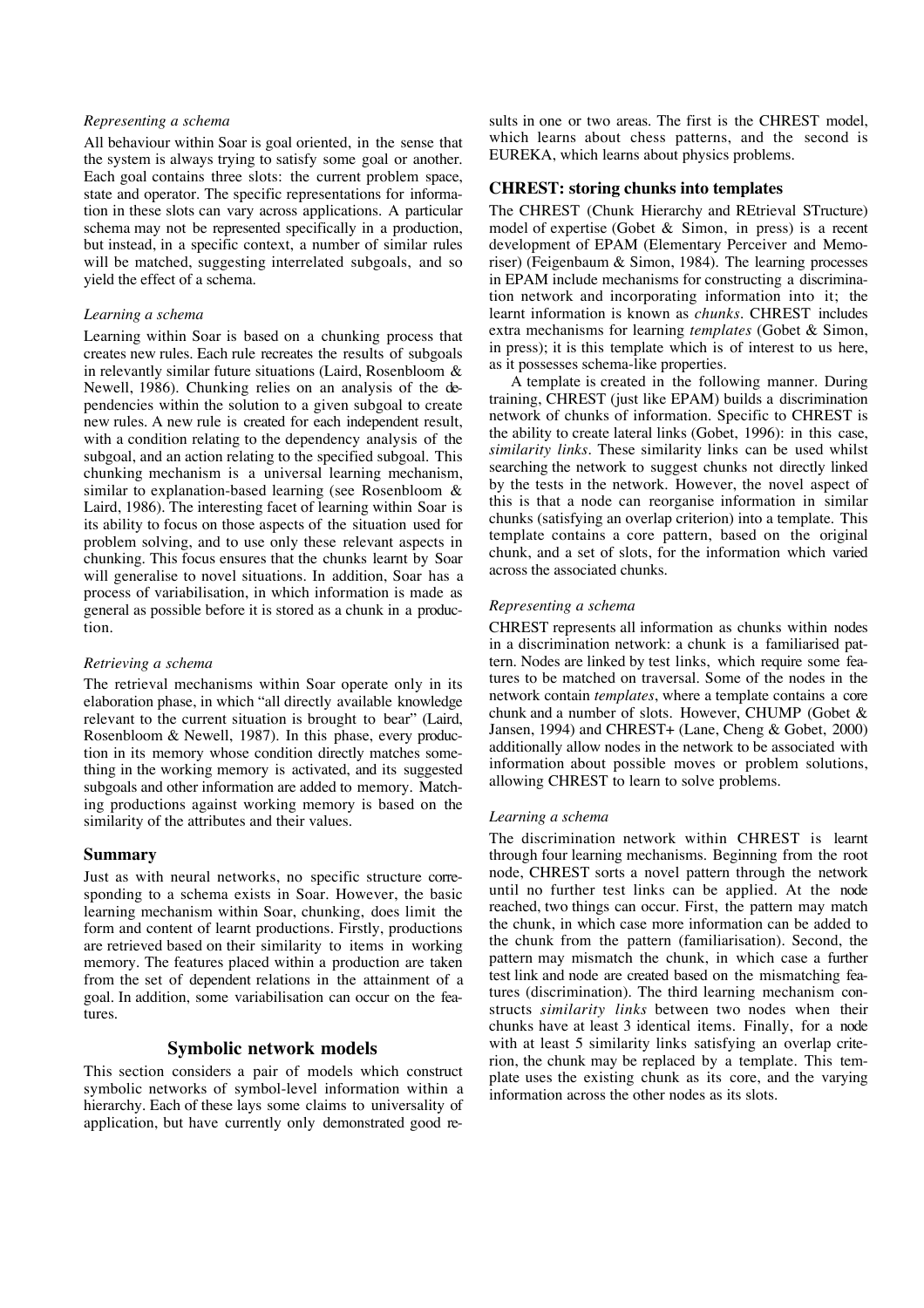#### *Representing a schema*

All behaviour within Soar is goal oriented, in the sense that the system is always trying to satisfy some goal or another. Each goal contains three slots: the current problem space, state and operator. The specific representations for information in these slots can vary across applications. A particular schema may not be represented specifically in a production, but instead, in a specific context, a number of similar rules will be matched, suggesting interrelated subgoals, and so yield the effect of a schema.

#### *Learning a schema*

Learning within Soar is based on a chunking process that creates new rules. Each rule recreates the results of subgoals in relevantly similar future situations (Laird, Rosenbloom & Newell, 1986). Chunking relies on an analysis of the dependencies within the solution to a given subgoal to create new rules. A new rule is created for each independent result, with a condition relating to the dependency analysis of the subgoal, and an action relating to the specified subgoal. This chunking mechanism is a universal learning mechanism, similar to explanation-based learning (see Rosenbloom & Laird, 1986). The interesting facet of learning within Soar is its ability to focus on those aspects of the situation used for problem solving, and to use only these relevant aspects in chunking. This focus ensures that the chunks learnt by Soar will generalise to novel situations. In addition, Soar has a process of variabilisation, in which information is made as general as possible before it is stored as a chunk in a production.

#### *Retrieving a schema*

The retrieval mechanisms within Soar operate only in its elaboration phase, in which "all directly available knowledge relevant to the current situation is brought to bear" (Laird, Rosenbloom & Newell, 1987). In this phase, every production in its memory whose condition directly matches something in the working memory is activated, and its suggested subgoals and other information are added to memory. Matching productions against working memory is based on the similarity of the attributes and their values.

## **Summary**

Just as with neural networks, no specific structure corresponding to a schema exists in Soar. However, the basic learning mechanism within Soar, chunking, does limit the form and content of learnt productions. Firstly, productions are retrieved based on their similarity to items in working memory. The features placed within a production are taken from the set of dependent relations in the attainment of a goal. In addition, some variabilisation can occur on the features.

# **Symbolic network models**

This section considers a pair of models which construct symbolic networks of symbol-level information within a hierarchy. Each of these lays some claims to universality of application, but have currently only demonstrated good re-

sults in one or two areas. The first is the CHREST model, which learns about chess patterns, and the second is EUREKA, which learns about physics problems.

### **CHREST: storing chunks into templates**

The CHREST (Chunk Hierarchy and REtrieval STructure) model of expertise (Gobet & Simon, in press) is a recent development of EPAM (Elementary Perceiver and Memoriser) (Feigenbaum & Simon, 1984). The learning processes in EPAM include mechanisms for constructing a discrimination network and incorporating information into it; the learnt information is known as *chunks*. CHREST includes extra mechanisms for learning *templates* (Gobet & Simon, in press); it is this template which is of interest to us here, as it possesses schema-like properties.

A template is created in the following manner. During training, CHREST (just like EPAM) builds a discrimination network of chunks of information. Specific to CHREST is the ability to create lateral links (Gobet, 1996): in this case, *similarity links*. These similarity links can be used whilst searching the network to suggest chunks not directly linked by the tests in the network. However, the novel aspect of this is that a node can reorganise information in similar chunks (satisfying an overlap criterion) into a template. This template contains a core pattern, based on the original chunk, and a set of slots, for the information which varied across the associated chunks.

# *Representing a schema*

CHREST represents all information as chunks within nodes in a discrimination network: a chunk is a familiarised pattern. Nodes are linked by test links, which require some features to be matched on traversal. Some of the nodes in the network contain *templates*, where a template contains a core chunk and a number of slots. However, CHUMP (Gobet & Jansen, 1994) and CHREST+ (Lane, Cheng & Gobet, 2000) additionally allow nodes in the network to be associated with information about possible moves or problem solutions, allowing CHREST to learn to solve problems.

#### *Learning a schema*

The discrimination network within CHREST is learnt through four learning mechanisms. Beginning from the root node, CHREST sorts a novel pattern through the network until no further test links can be applied. At the node reached, two things can occur. First, the pattern may match the chunk, in which case more information can be added to the chunk from the pattern (familiarisation). Second, the pattern may mismatch the chunk, in which case a further test link and node are created based on the mismatching features (discrimination). The third learning mechanism constructs *similarity links* between two nodes when their chunks have at least 3 identical items. Finally, for a node with at least 5 similarity links satisfying an overlap criterion, the chunk may be replaced by a template. This template uses the existing chunk as its core, and the varying information across the other nodes as its slots.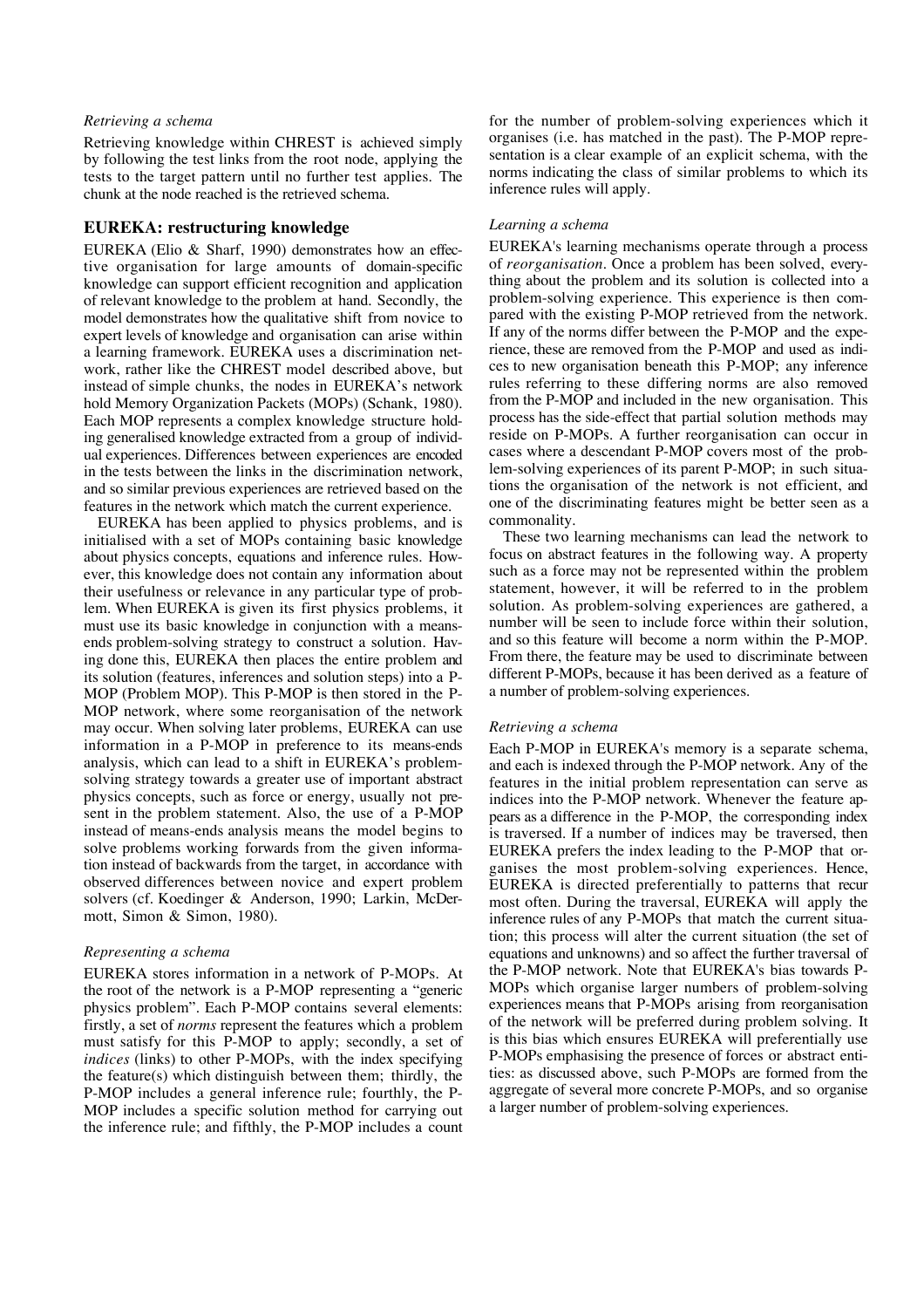#### *Retrieving a schema*

Retrieving knowledge within CHREST is achieved simply by following the test links from the root node, applying the tests to the target pattern until no further test applies. The chunk at the node reached is the retrieved schema.

# **EUREKA: restructuring knowledge**

EUREKA (Elio & Sharf, 1990) demonstrates how an effective organisation for large amounts of domain-specific knowledge can support efficient recognition and application of relevant knowledge to the problem at hand. Secondly, the model demonstrates how the qualitative shift from novice to expert levels of knowledge and organisation can arise within a learning framework. EUREKA uses a discrimination network, rather like the CHREST model described above, but instead of simple chunks, the nodes in EUREKA's network hold Memory Organization Packets (MOPs) (Schank, 1980). Each MOP represents a complex knowledge structure holding generalised knowledge extracted from a group of individual experiences. Differences between experiences are encoded in the tests between the links in the discrimination network, and so similar previous experiences are retrieved based on the features in the network which match the current experience.

EUREKA has been applied to physics problems, and is initialised with a set of MOPs containing basic knowledge about physics concepts, equations and inference rules. However, this knowledge does not contain any information about their usefulness or relevance in any particular type of problem. When EUREKA is given its first physics problems, it must use its basic knowledge in conjunction with a meansends problem-solving strategy to construct a solution. Having done this, EUREKA then places the entire problem and its solution (features, inferences and solution steps) into a P-MOP (Problem MOP). This P-MOP is then stored in the P-MOP network, where some reorganisation of the network may occur. When solving later problems, EUREKA can use information in a P-MOP in preference to its means-ends analysis, which can lead to a shift in EUREKA's problemsolving strategy towards a greater use of important abstract physics concepts, such as force or energy, usually not present in the problem statement. Also, the use of a P-MOP instead of means-ends analysis means the model begins to solve problems working forwards from the given information instead of backwards from the target, in accordance with observed differences between novice and expert problem solvers (cf. Koedinger & Anderson, 1990; Larkin, McDermott, Simon & Simon, 1980).

#### *Representing a schema*

EUREKA stores information in a network of P-MOPs. At the root of the network is a P-MOP representing a "generic physics problem". Each P-MOP contains several elements: firstly, a set of *norms* represent the features which a problem must satisfy for this P-MOP to apply; secondly, a set of *indices* (links) to other P-MOPs, with the index specifying the feature(s) which distinguish between them; thirdly, the P-MOP includes a general inference rule; fourthly, the P-MOP includes a specific solution method for carrying out the inference rule; and fifthly, the P-MOP includes a count

for the number of problem-solving experiences which it organises (i.e. has matched in the past). The P-MOP representation is a clear example of an explicit schema, with the norms indicating the class of similar problems to which its inference rules will apply.

## *Learning a schema*

EUREKA's learning mechanisms operate through a process of *reorganisation*. Once a problem has been solved, everything about the problem and its solution is collected into a problem-solving experience. This experience is then compared with the existing P-MOP retrieved from the network. If any of the norms differ between the P-MOP and the experience, these are removed from the P-MOP and used as indices to new organisation beneath this P-MOP; any inference rules referring to these differing norms are also removed from the P-MOP and included in the new organisation. This process has the side-effect that partial solution methods may reside on P-MOPs. A further reorganisation can occur in cases where a descendant P-MOP covers most of the problem-solving experiences of its parent P-MOP; in such situations the organisation of the network is not efficient, and one of the discriminating features might be better seen as a commonality.

These two learning mechanisms can lead the network to focus on abstract features in the following way. A property such as a force may not be represented within the problem statement, however, it will be referred to in the problem solution. As problem-solving experiences are gathered, a number will be seen to include force within their solution, and so this feature will become a norm within the P-MOP. From there, the feature may be used to discriminate between different P-MOPs, because it has been derived as a feature of a number of problem-solving experiences.

#### *Retrieving a schema*

Each P-MOP in EUREKA's memory is a separate schema, and each is indexed through the P-MOP network. Any of the features in the initial problem representation can serve as indices into the P-MOP network. Whenever the feature appears as a difference in the P-MOP, the corresponding index is traversed. If a number of indices may be traversed, then EUREKA prefers the index leading to the P-MOP that organises the most problem-solving experiences. Hence, EUREKA is directed preferentially to patterns that recur most often. During the traversal, EUREKA will apply the inference rules of any P-MOPs that match the current situation; this process will alter the current situation (the set of equations and unknowns) and so affect the further traversal of the P-MOP network. Note that EUREKA's bias towards P-MOPs which organise larger numbers of problem-solving experiences means that P-MOPs arising from reorganisation of the network will be preferred during problem solving. It is this bias which ensures EUREKA will preferentially use P-MOPs emphasising the presence of forces or abstract entities: as discussed above, such P-MOPs are formed from the aggregate of several more concrete P-MOPs, and so organise a larger number of problem-solving experiences.